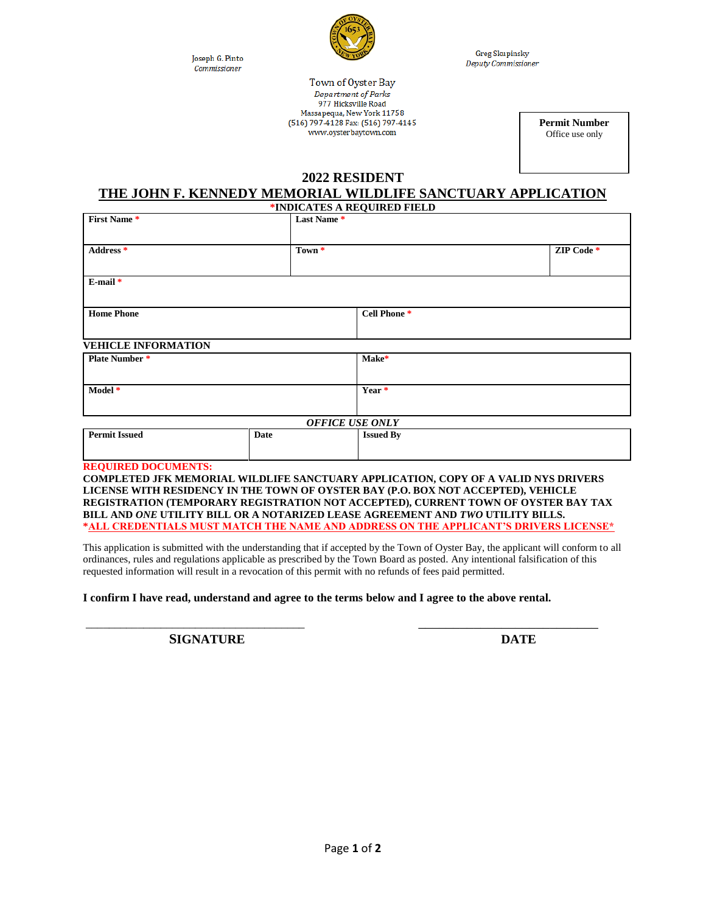Joseph G. Pinto Commissioner



**Greg Skupinsky** Deputy Commissioner

Town of Oyster Bay Department of Parks 977 Hicksville Road Massapequa, New York 11758 (516) 797-4128 Fax: (516) 797-4145 www.oysterbaytown.com

**Permit Number** Office use only

## **2022 RESIDENT**

# **THE JOHN F. KENNEDY MEMORIAL WILDLIFE SANCTUARY APPLICATION**

|             |                            | ZIP Code *                                                        |
|-------------|----------------------------|-------------------------------------------------------------------|
|             |                            |                                                                   |
|             | Cell Phone <sup>*</sup>    |                                                                   |
|             |                            |                                                                   |
|             |                            |                                                                   |
|             |                            |                                                                   |
| <b>Date</b> | <b>Issued By</b>           |                                                                   |
|             | <b>VEHICLE INFORMATION</b> | Last Name*<br>Town *<br>Make*<br>Year *<br><b>OFFICE USE ONLY</b> |

**REGISTRATION (TEMPORARY REGISTRATION NOT ACCEPTED), CURRENT TOWN OF OYSTER BAY TAX BILL AND** *ONE* **UTILITY BILL OR A NOTARIZED LEASE AGREEMENT AND** *TWO* **UTILITY BILLS. \*ALL CREDENTIALS MUST MATCH THE NAME AND ADDRESS ON THE APPLICANT'S DRIVERS LICENSE\***

This application is submitted with the understanding that if accepted by the Town of Oyster Bay, the applicant will conform to all ordinances, rules and regulations applicable as prescribed by the Town Board as posted. Any intentional falsification of this requested information will result in a revocation of this permit with no refunds of fees paid permitted.

\_\_\_\_\_\_\_\_\_\_\_\_\_\_\_\_\_\_\_\_\_\_\_\_\_\_\_\_\_\_\_\_\_\_\_\_\_\_ \_\_\_\_\_\_\_\_\_\_\_\_\_\_\_\_\_\_\_\_\_\_\_\_\_\_

**I confirm I have read, understand and agree to the terms below and I agree to the above rental.**

**SIGNATURE DATE**